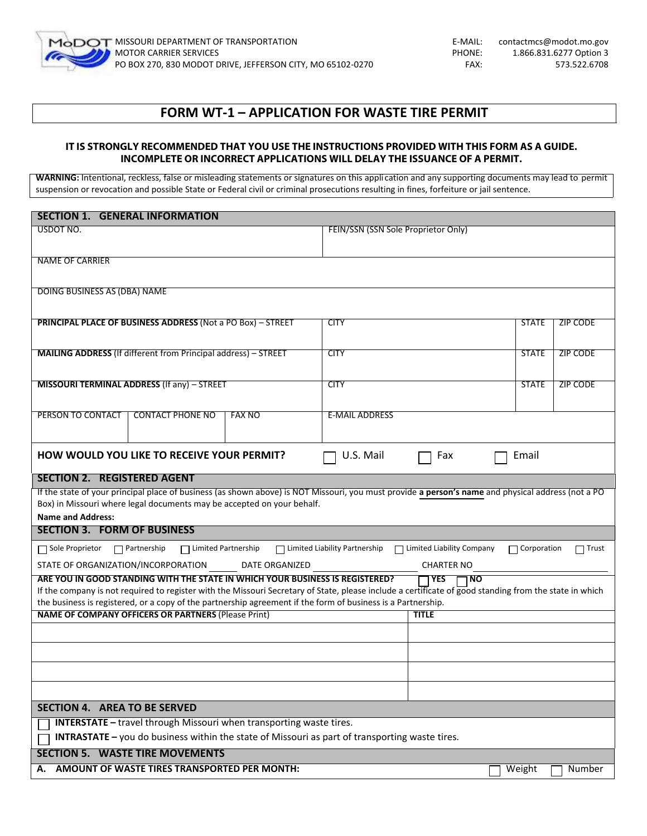

# **FORM WT-1 – APPLICATION FOR WASTE TIRE PERMIT**

# **IT IS STRONGLY RECOMMENDED THAT YOU USE THE INSTRUCTIONS PROVIDED WITH THIS FORM AS A GUIDE. INCOMPLETE OR INCORRECT APPLICATIONS WILL DELAY THE ISSUANCE OF A PERMIT.**

**WARNING:** Intentional, reckless, false or misleading statements or signatures on this appli cation and any supporting documents may lead to permit suspension or revocation and possible State or Federal civil or criminal prosecutions resulting in fines, forfeiture or jail sentence.

| <b>SECTION 1. GENERAL INFORMATION</b>                                                                                                                                                                                                                                  |                                     |                             |                    |                 |
|------------------------------------------------------------------------------------------------------------------------------------------------------------------------------------------------------------------------------------------------------------------------|-------------------------------------|-----------------------------|--------------------|-----------------|
| USDOT NO.                                                                                                                                                                                                                                                              | FEIN/SSN (SSN Sole Proprietor Only) |                             |                    |                 |
|                                                                                                                                                                                                                                                                        |                                     |                             |                    |                 |
| <b>NAME OF CARRIER</b>                                                                                                                                                                                                                                                 |                                     |                             |                    |                 |
| DOING BUSINESS AS (DBA) NAME                                                                                                                                                                                                                                           |                                     |                             |                    |                 |
| <b>PRINCIPAL PLACE OF BUSINESS ADDRESS (Not a PO Box) - STREET</b>                                                                                                                                                                                                     | <b>CITY</b>                         |                             | <b>STATE</b>       | ZIP CODE        |
|                                                                                                                                                                                                                                                                        |                                     |                             |                    |                 |
| <b>MAILING ADDRESS</b> (If different from Principal address) - STREET                                                                                                                                                                                                  | <b>CITY</b>                         |                             | <b>STATE</b>       | <b>ZIP CODE</b> |
|                                                                                                                                                                                                                                                                        |                                     |                             |                    |                 |
| MISSOURI TERMINAL ADDRESS (If any) - STREET                                                                                                                                                                                                                            | <b>CITY</b>                         |                             | <b>STATE</b>       | <b>ZIP CODE</b> |
| <b>CONTACT PHONE NO</b><br>PERSON TO CONTACT<br><b>FAX NO</b>                                                                                                                                                                                                          | <b>E-MAIL ADDRESS</b>               |                             |                    |                 |
|                                                                                                                                                                                                                                                                        |                                     |                             |                    |                 |
| <b>HOW WOULD YOU LIKE TO RECEIVE YOUR PERMIT?</b>                                                                                                                                                                                                                      | U.S. Mail                           | Fax                         | Email              |                 |
| <b>SECTION 2. REGISTERED AGENT</b>                                                                                                                                                                                                                                     |                                     |                             |                    |                 |
| If the state of your principal place of business (as shown above) is NOT Missouri, you must provide a person's name and physical address (not a PO<br>Box) in Missouri where legal documents may be accepted on your behalf.                                           |                                     |                             |                    |                 |
| <b>Name and Address:</b>                                                                                                                                                                                                                                               |                                     |                             |                    |                 |
| <b>SECTION 3. FORM OF BUSINESS</b>                                                                                                                                                                                                                                     |                                     |                             |                    |                 |
| □ Limited Partnership<br>Sole Proprietor<br>$\Box$ Partnership                                                                                                                                                                                                         | □ Limited Liability Partnership     | □ Limited Liability Company | $\Box$ Corporation | ヿ Trust         |
| STATE OF ORGANIZATION/INCORPORATION<br>DATE ORGANIZED                                                                                                                                                                                                                  |                                     | <b>CHARTER NO</b>           |                    |                 |
| ARE YOU IN GOOD STANDING WITH THE STATE IN WHICH YOUR BUSINESS IS REGISTERED?                                                                                                                                                                                          |                                     | <b>TYES</b><br>$\square$ NO |                    |                 |
| If the company is not required to register with the Missouri Secretary of State, please include a certificate of good standing from the state in which<br>the business is registered, or a copy of the partnership agreement if the form of business is a Partnership. |                                     |                             |                    |                 |
| <b>NAME OF COMPANY OFFICERS OR PARTNERS (Please Print)</b>                                                                                                                                                                                                             |                                     | <b>TITLE</b>                |                    |                 |
|                                                                                                                                                                                                                                                                        |                                     |                             |                    |                 |
|                                                                                                                                                                                                                                                                        |                                     |                             |                    |                 |
|                                                                                                                                                                                                                                                                        |                                     |                             |                    |                 |
|                                                                                                                                                                                                                                                                        |                                     |                             |                    |                 |
| SECTION 4. AREA TO BE SERVED                                                                                                                                                                                                                                           |                                     |                             |                    |                 |
| <b>INTERSTATE</b> - travel through Missouri when transporting waste tires.                                                                                                                                                                                             |                                     |                             |                    |                 |
| <b>INTRASTATE</b> - you do business within the state of Missouri as part of transporting waste tires.                                                                                                                                                                  |                                     |                             |                    |                 |
| <b>SECTION 5. WASTE TIRE MOVEMENTS</b>                                                                                                                                                                                                                                 |                                     |                             |                    |                 |
| <b>AMOUNT OF WASTE TIRES TRANSPORTED PER MONTH:</b>                                                                                                                                                                                                                    |                                     |                             | Weight             | Number          |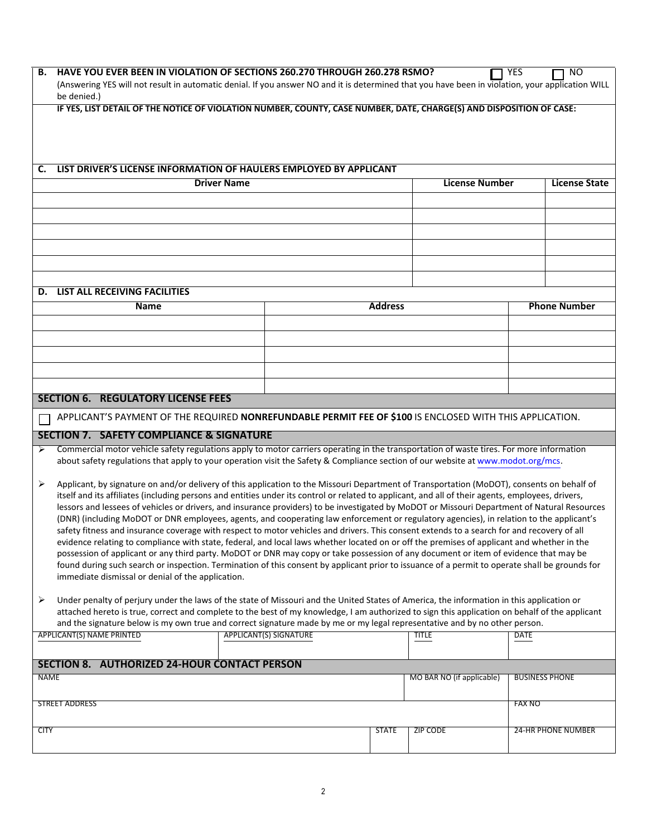| В.          | HAVE YOU EVER BEEN IN VIOLATION OF SECTIONS 260.270 THROUGH 260.278 RSMO?<br>(Answering YES will not result in automatic denial. If you answer NO and it is determined that you have been in violation, your application WILL<br>be denied.)                                                                                                                                                                                                                                                                                                                                                                                                                                                                                                                                                                                                                                                                                                                                                                                                                                                                                                                                                                                           |                               |                |                           | YES                   | <b>NO</b>                 |
|-------------|----------------------------------------------------------------------------------------------------------------------------------------------------------------------------------------------------------------------------------------------------------------------------------------------------------------------------------------------------------------------------------------------------------------------------------------------------------------------------------------------------------------------------------------------------------------------------------------------------------------------------------------------------------------------------------------------------------------------------------------------------------------------------------------------------------------------------------------------------------------------------------------------------------------------------------------------------------------------------------------------------------------------------------------------------------------------------------------------------------------------------------------------------------------------------------------------------------------------------------------|-------------------------------|----------------|---------------------------|-----------------------|---------------------------|
|             | IF YES, LIST DETAIL OF THE NOTICE OF VIOLATION NUMBER, COUNTY, CASE NUMBER, DATE, CHARGE(S) AND DISPOSITION OF CASE:                                                                                                                                                                                                                                                                                                                                                                                                                                                                                                                                                                                                                                                                                                                                                                                                                                                                                                                                                                                                                                                                                                                   |                               |                |                           |                       |                           |
| C.          | LIST DRIVER'S LICENSE INFORMATION OF HAULERS EMPLOYED BY APPLICANT                                                                                                                                                                                                                                                                                                                                                                                                                                                                                                                                                                                                                                                                                                                                                                                                                                                                                                                                                                                                                                                                                                                                                                     |                               |                |                           |                       |                           |
|             | <b>Driver Name</b>                                                                                                                                                                                                                                                                                                                                                                                                                                                                                                                                                                                                                                                                                                                                                                                                                                                                                                                                                                                                                                                                                                                                                                                                                     |                               |                | <b>License Number</b>     |                       | <b>License State</b>      |
|             |                                                                                                                                                                                                                                                                                                                                                                                                                                                                                                                                                                                                                                                                                                                                                                                                                                                                                                                                                                                                                                                                                                                                                                                                                                        |                               |                |                           |                       |                           |
|             |                                                                                                                                                                                                                                                                                                                                                                                                                                                                                                                                                                                                                                                                                                                                                                                                                                                                                                                                                                                                                                                                                                                                                                                                                                        |                               |                |                           |                       |                           |
|             |                                                                                                                                                                                                                                                                                                                                                                                                                                                                                                                                                                                                                                                                                                                                                                                                                                                                                                                                                                                                                                                                                                                                                                                                                                        |                               |                |                           |                       |                           |
|             |                                                                                                                                                                                                                                                                                                                                                                                                                                                                                                                                                                                                                                                                                                                                                                                                                                                                                                                                                                                                                                                                                                                                                                                                                                        |                               |                |                           |                       |                           |
|             |                                                                                                                                                                                                                                                                                                                                                                                                                                                                                                                                                                                                                                                                                                                                                                                                                                                                                                                                                                                                                                                                                                                                                                                                                                        |                               |                |                           |                       |                           |
|             | <b>D. LIST ALL RECEIVING FACILITIES</b>                                                                                                                                                                                                                                                                                                                                                                                                                                                                                                                                                                                                                                                                                                                                                                                                                                                                                                                                                                                                                                                                                                                                                                                                |                               |                |                           |                       |                           |
|             | <b>Name</b>                                                                                                                                                                                                                                                                                                                                                                                                                                                                                                                                                                                                                                                                                                                                                                                                                                                                                                                                                                                                                                                                                                                                                                                                                            |                               | <b>Address</b> |                           | <b>Phone Number</b>   |                           |
|             |                                                                                                                                                                                                                                                                                                                                                                                                                                                                                                                                                                                                                                                                                                                                                                                                                                                                                                                                                                                                                                                                                                                                                                                                                                        |                               |                |                           |                       |                           |
|             |                                                                                                                                                                                                                                                                                                                                                                                                                                                                                                                                                                                                                                                                                                                                                                                                                                                                                                                                                                                                                                                                                                                                                                                                                                        |                               |                |                           |                       |                           |
|             |                                                                                                                                                                                                                                                                                                                                                                                                                                                                                                                                                                                                                                                                                                                                                                                                                                                                                                                                                                                                                                                                                                                                                                                                                                        |                               |                |                           |                       |                           |
|             |                                                                                                                                                                                                                                                                                                                                                                                                                                                                                                                                                                                                                                                                                                                                                                                                                                                                                                                                                                                                                                                                                                                                                                                                                                        |                               |                |                           |                       |                           |
|             |                                                                                                                                                                                                                                                                                                                                                                                                                                                                                                                                                                                                                                                                                                                                                                                                                                                                                                                                                                                                                                                                                                                                                                                                                                        |                               |                |                           |                       |                           |
|             | <b>SECTION 6. REGULATORY LICENSE FEES</b>                                                                                                                                                                                                                                                                                                                                                                                                                                                                                                                                                                                                                                                                                                                                                                                                                                                                                                                                                                                                                                                                                                                                                                                              |                               |                |                           |                       |                           |
|             | APPLICANT'S PAYMENT OF THE REQUIRED NONREFUNDABLE PERMIT FEE OF \$100 IS ENCLOSED WITH THIS APPLICATION.                                                                                                                                                                                                                                                                                                                                                                                                                                                                                                                                                                                                                                                                                                                                                                                                                                                                                                                                                                                                                                                                                                                               |                               |                |                           |                       |                           |
|             | <b>SECTION 7. SAFETY COMPLIANCE &amp; SIGNATURE</b>                                                                                                                                                                                                                                                                                                                                                                                                                                                                                                                                                                                                                                                                                                                                                                                                                                                                                                                                                                                                                                                                                                                                                                                    |                               |                |                           |                       |                           |
| ➤           | Commercial motor vehicle safety regulations apply to motor carriers operating in the transportation of waste tires. For more information<br>about safety regulations that apply to your operation visit the Safety & Compliance section of our website at www.modot.org/mcs.                                                                                                                                                                                                                                                                                                                                                                                                                                                                                                                                                                                                                                                                                                                                                                                                                                                                                                                                                           |                               |                |                           |                       |                           |
| ➤           | Applicant, by signature on and/or delivery of this application to the Missouri Department of Transportation (MoDOT), consents on behalf of<br>itself and its affiliates (including persons and entities under its control or related to applicant, and all of their agents, employees, drivers,<br>lessors and lessees of vehicles or drivers, and insurance providers) to be investigated by MoDOT or Missouri Department of Natural Resources<br>(DNR) (including MoDOT or DNR employees, agents, and cooperating law enforcement or regulatory agencies), in relation to the applicant's<br>safety fitness and insurance coverage with respect to motor vehicles and drivers. This consent extends to a search for and recovery of all<br>evidence relating to compliance with state, federal, and local laws whether located on or off the premises of applicant and whether in the<br>possession of applicant or any third party. MoDOT or DNR may copy or take possession of any document or item of evidence that may be<br>found during such search or inspection. Termination of this consent by applicant prior to issuance of a permit to operate shall be grounds for<br>immediate dismissal or denial of the application. |                               |                |                           |                       |                           |
| ➤           | Under penalty of perjury under the laws of the state of Missouri and the United States of America, the information in this application or<br>attached hereto is true, correct and complete to the best of my knowledge, I am authorized to sign this application on behalf of the applicant<br>and the signature below is my own true and correct signature made by me or my legal representative and by no other person.                                                                                                                                                                                                                                                                                                                                                                                                                                                                                                                                                                                                                                                                                                                                                                                                              |                               |                |                           |                       |                           |
|             | APPLICANT(S) NAME PRINTED                                                                                                                                                                                                                                                                                                                                                                                                                                                                                                                                                                                                                                                                                                                                                                                                                                                                                                                                                                                                                                                                                                                                                                                                              | <b>APPLICANT(S) SIGNATURE</b> |                | <b>TITLE</b>              | <b>DATE</b>           |                           |
|             | <b>SECTION 8. AUTHORIZED 24-HOUR CONTACT PERSON</b>                                                                                                                                                                                                                                                                                                                                                                                                                                                                                                                                                                                                                                                                                                                                                                                                                                                                                                                                                                                                                                                                                                                                                                                    |                               |                |                           |                       |                           |
| <b>NAME</b> |                                                                                                                                                                                                                                                                                                                                                                                                                                                                                                                                                                                                                                                                                                                                                                                                                                                                                                                                                                                                                                                                                                                                                                                                                                        |                               |                | MO BAR NO (if applicable) | <b>BUSINESS PHONE</b> |                           |
|             |                                                                                                                                                                                                                                                                                                                                                                                                                                                                                                                                                                                                                                                                                                                                                                                                                                                                                                                                                                                                                                                                                                                                                                                                                                        |                               |                |                           |                       |                           |
|             | <b>STREET ADDRESS</b>                                                                                                                                                                                                                                                                                                                                                                                                                                                                                                                                                                                                                                                                                                                                                                                                                                                                                                                                                                                                                                                                                                                                                                                                                  |                               |                |                           | <b>FAX NO</b>         |                           |
| <b>CITY</b> |                                                                                                                                                                                                                                                                                                                                                                                                                                                                                                                                                                                                                                                                                                                                                                                                                                                                                                                                                                                                                                                                                                                                                                                                                                        |                               | <b>STATE</b>   | <b>ZIP CODE</b>           |                       | <b>24-HR PHONE NUMBER</b> |
|             |                                                                                                                                                                                                                                                                                                                                                                                                                                                                                                                                                                                                                                                                                                                                                                                                                                                                                                                                                                                                                                                                                                                                                                                                                                        |                               |                |                           |                       |                           |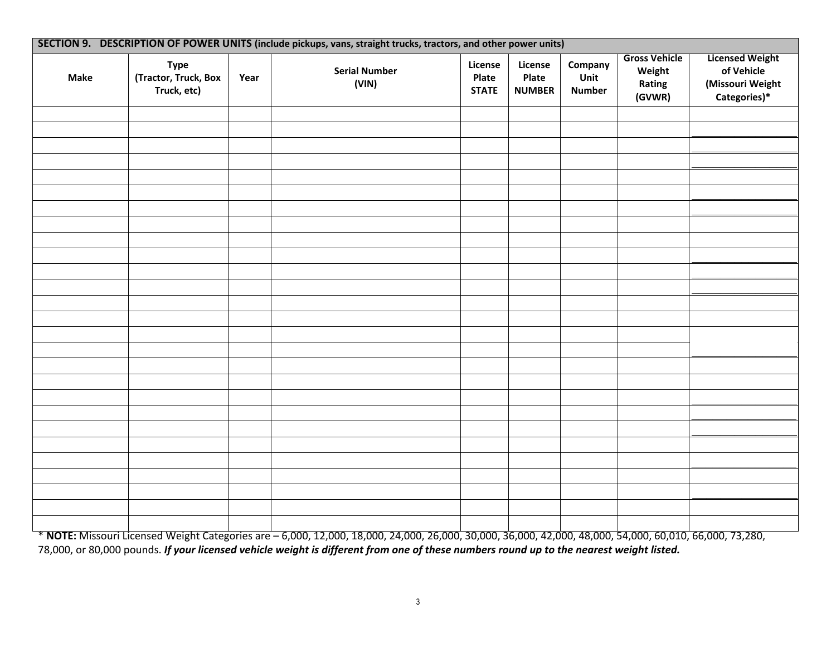|             |                                                    |      | SECTION 9. DESCRIPTION OF POWER UNITS (include pickups, vans, straight trucks, tractors, and other power units) |                                  |                                   |                                  |                                                    |                                                                          |
|-------------|----------------------------------------------------|------|-----------------------------------------------------------------------------------------------------------------|----------------------------------|-----------------------------------|----------------------------------|----------------------------------------------------|--------------------------------------------------------------------------|
| <b>Make</b> | <b>Type</b><br>(Tractor, Truck, Box<br>Truck, etc) | Year | <b>Serial Number</b><br>(VIN)                                                                                   | License<br>Plate<br><b>STATE</b> | License<br>Plate<br><b>NUMBER</b> | Company<br>Unit<br><b>Number</b> | <b>Gross Vehicle</b><br>Weight<br>Rating<br>(GVWR) | <b>Licensed Weight</b><br>of Vehicle<br>(Missouri Weight<br>Categories)* |
|             |                                                    |      |                                                                                                                 |                                  |                                   |                                  |                                                    |                                                                          |
|             |                                                    |      |                                                                                                                 |                                  |                                   |                                  |                                                    |                                                                          |
|             |                                                    |      |                                                                                                                 |                                  |                                   |                                  |                                                    |                                                                          |
|             |                                                    |      |                                                                                                                 |                                  |                                   |                                  |                                                    |                                                                          |
|             |                                                    |      |                                                                                                                 |                                  |                                   |                                  |                                                    |                                                                          |
|             |                                                    |      |                                                                                                                 |                                  |                                   |                                  |                                                    |                                                                          |
|             |                                                    |      |                                                                                                                 |                                  |                                   |                                  |                                                    |                                                                          |
|             |                                                    |      |                                                                                                                 |                                  |                                   |                                  |                                                    |                                                                          |
|             |                                                    |      |                                                                                                                 |                                  |                                   |                                  |                                                    |                                                                          |
|             |                                                    |      |                                                                                                                 |                                  |                                   |                                  |                                                    |                                                                          |
|             |                                                    |      |                                                                                                                 |                                  |                                   |                                  |                                                    |                                                                          |
|             |                                                    |      |                                                                                                                 |                                  |                                   |                                  |                                                    |                                                                          |
|             |                                                    |      |                                                                                                                 |                                  |                                   |                                  |                                                    |                                                                          |
|             |                                                    |      |                                                                                                                 |                                  |                                   |                                  |                                                    |                                                                          |
|             |                                                    |      |                                                                                                                 |                                  |                                   |                                  |                                                    |                                                                          |
|             |                                                    |      |                                                                                                                 |                                  |                                   |                                  |                                                    |                                                                          |
|             |                                                    |      |                                                                                                                 |                                  |                                   |                                  |                                                    |                                                                          |
|             |                                                    |      |                                                                                                                 |                                  |                                   |                                  |                                                    |                                                                          |
|             |                                                    |      |                                                                                                                 |                                  |                                   |                                  |                                                    |                                                                          |
|             |                                                    |      |                                                                                                                 |                                  |                                   |                                  |                                                    |                                                                          |
|             |                                                    |      |                                                                                                                 |                                  |                                   |                                  |                                                    |                                                                          |
|             |                                                    |      |                                                                                                                 |                                  |                                   |                                  |                                                    |                                                                          |
|             |                                                    |      |                                                                                                                 |                                  |                                   |                                  |                                                    |                                                                          |
|             |                                                    |      |                                                                                                                 |                                  |                                   |                                  |                                                    |                                                                          |
|             |                                                    |      |                                                                                                                 |                                  |                                   |                                  |                                                    |                                                                          |
|             |                                                    |      |                                                                                                                 |                                  |                                   |                                  |                                                    |                                                                          |
|             |                                                    |      |                                                                                                                 |                                  |                                   |                                  |                                                    |                                                                          |

\* **NOTE:** Missouri Licensed Weight Categories are – 6,000, 12,000, 18,000, 24,000, 26,000, 30,000, 36,000, 42,000, 48,000, 54,000, 60,010, 66,000, 73,280, 78,000, or 80,000 pounds. *If your licensed vehicle weight is different from one of these numbers round up to the nearest weight listed.*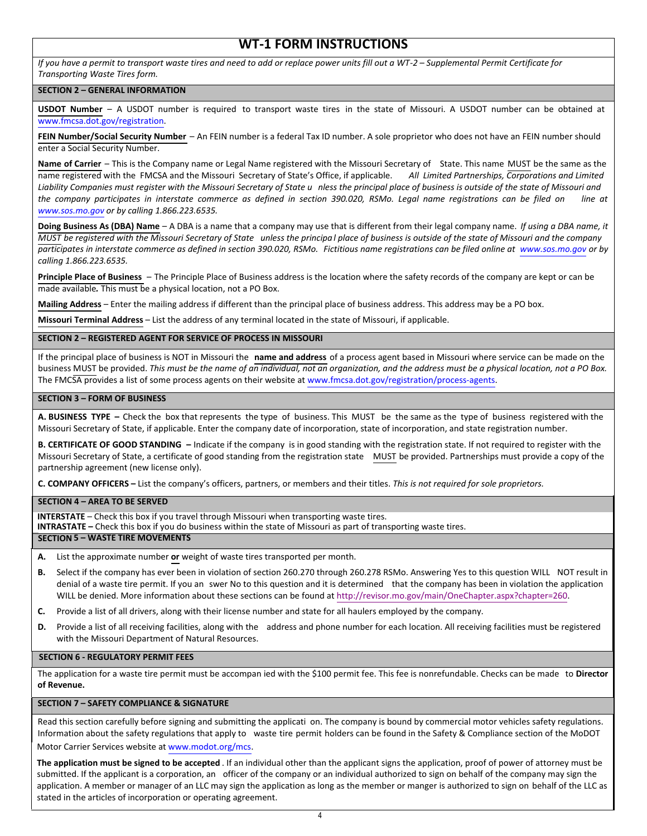# **WT-1 FORM INSTRUCTIONS**

*If you have a permit to transport waste tires and need to add or replace power units fill out a WT-2 – Supplemental Permit Certificate for Transporting Waste Tires form.*

## **SECTION 2 – GENERAL INFORMATION**

**USDOT Number** – A USDOT number is required to transport waste tires in the state of Missouri. A USDOT number can be obtained at www.fmcsa.dot.gov/registration.

**FEIN Number/Social Security Number** – An FEIN number is a federal Tax ID number. A sole proprietor who does not have an FEIN number should enter a Social Security Number.

**Name of Carrier** – This is the Company name or Legal Name registered with the Missouri Secretary of State. This name MUST be the same as the name registered with the FMCSA and the Missouri Secretary of State's Office, if applicable. *All Limited Partnerships, Corporations and Limited Liability Companies must register with the Missouri Secretary of State u nless the principal place of business is outside of the state of Missouri and the company participates in interstate commerce as defined in section 390.020, RSMo. Legal name registrations can be filed on line at www.sos.mo.gov or by calling 1.866.223.6535.*

**Doing Business As (DBA) Name** – A DBA is a name that a company may use that is different from their legal company name. *If using a DBA name, it MUST be registered with the Missouri Secretary of State unless the principa l place of business is outside of the state of Missouri and the company participates in interstate commerce as defined in section 390.020, RSMo. Fictitious name registrations can be filed online at www.sos.mo.gov or by calling 1.866.223.6535.*

**Principle Place of Business** – The Principle Place of Business address is the location where the safety records of the company are kept or can be made available*.* This must be a physical location, not a PO Box.

**Mailing Address** – Enter the mailing address if different than the principal place of business address. This address may be a PO box.

**Missouri Terminal Address** – List the address of any terminal located in the state of Missouri, if applicable.

## **SECTION 2 – REGISTERED AGENT FOR SERVICE OF PROCESS IN MISSOURI**

If the principal place of business is NOT in Missouri the **name and address** of a process agent based in Missouri where service can be made on the business MUST be provided. *This must be the name of an individual, not an organization, and the address must be a physical location, not a PO Box.* The FMCSA provides a list of some process agents on their website at www.fmcsa.dot.gov/registration/process-agents.

## **SECTION 3 – FORM OF BUSINESS**

**A. BUSINESS TYPE –** Check the box that represents the type of business. This MUST be the same as the type of business registered with the Missouri Secretary of State, if applicable. Enter the company date of incorporation, state of incorporation, and state registration number.

**B. CERTIFICATE OF GOOD STANDING –** Indicate if the company is in good standing with the registration state. If not required to register with the Missouri Secretary of State, a certificate of good standing from the registration state MUST be provided. Partnerships must provide a copy of the partnership agreement (new license only).

**C. COMPANY OFFICERS –** List the company's officers, partners, or members and their titles. *This is not required for sole proprietors.*

#### **SECTION 4 – AREA TO BE SERVED**

**INTERSTATE** – Check this box if you travel through Missouri when transporting waste tires.

**INTRASTATE –** Check this box if you do business within the state of Missouri as part of transporting waste tires.

#### **SECTION 5 – WASTE TIRE MOVEMENTS**

- **A.** List the approximate number **or** weight of waste tires transported per month.
- **B.** Select if the company has ever been in violation of section 260.270 through 260.278 RSMo. Answering Yes to this question WILL NOT result in denial of a waste tire permit. If you an swer No to this question and it is determined that the company has been in violation the application WILL be denied. More information about these sections can be found at http://revisor.mo.gov/main/OneChapter.aspx?chapter=260.
- **C.** Provide a list of all drivers, along with their license number and state for all haulers employed by the company.
- **D.** Provide a list of all receiving facilities, along with the address and phone number for each location. All receiving facilities must be registered with the Missouri Department of Natural Resources.

### **SECTION 6 - REGULATORY PERMIT FEES**

The application for a waste tire permit must be accompan ied with the \$100 permit fee. This fee is nonrefundable. Checks can be made to **Director of Revenue.**

# **SECTION 7 – SAFETY COMPLIANCE & SIGNATURE**

Read this section carefully before signing and submitting the applicati on. The company is bound by commercial motor vehicles safety regulations. Information about the safety regulations that apply to waste tire permit holders can be found in the Safety & Compliance section of the MoDOT Motor Carrier Services website at www.modot.org/mcs.

**The application must be signed to be accepted** . If an individual other than the applicant signs the application, proof of power of attorney must be submitted. If the applicant is a corporation, an officer of the company or an individual authorized to sign on behalf of the company may sign the application. A member or manager of an LLC may sign the application as long as the member or manger is authorized to sign on behalf of the LLC as stated in the articles of incorporation or operating agreement.